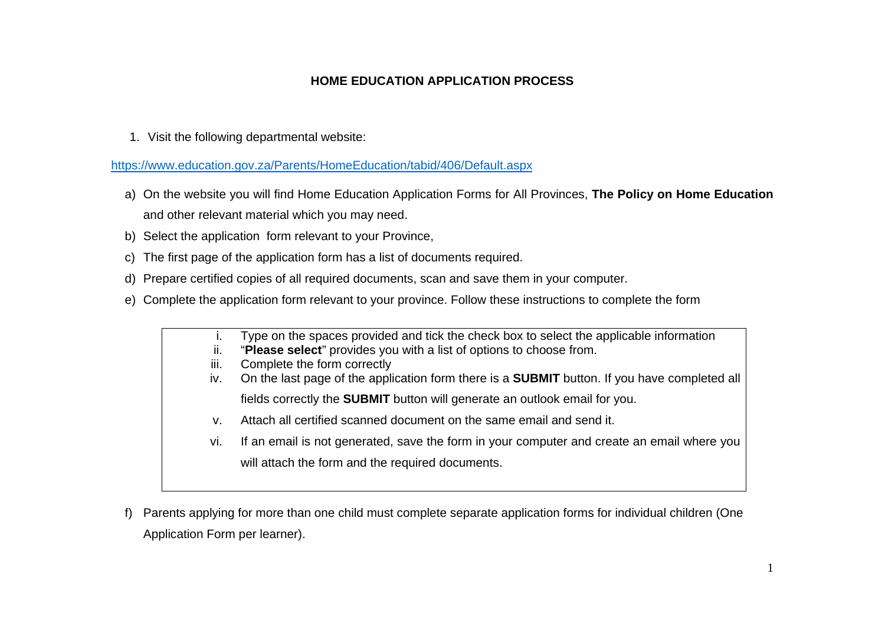## **HOME EDUCATION APPLICATION PROCESS**

1. Visit the following departmental website:

https://www.education.gov.za/Parents/HomeEducation/tabid/406/Default.aspx

- a) On the website you will find Home Education Application Forms for All Provinces, **The Policy on Home Education** and other relevant material which you may need.
- b) Select the application form relevant to your Province,
- c) The first page of the application form has a list of documents required.
- d) Prepare certified copies of all required documents, scan and save them in your computer.
- e) Complete the application form relevant to your province. Follow these instructions to complete the form

|      | Type on the spaces provided and tick the check box to select the applicable information             |
|------|-----------------------------------------------------------------------------------------------------|
| ii.  | "Please select" provides you with a list of options to choose from.                                 |
| iii. | Complete the form correctly                                                                         |
| IV.  | On the last page of the application form there is a <b>SUBMIT</b> button. If you have completed all |
|      | fields correctly the <b>SUBMIT</b> button will generate an outlook email for you.                   |
| v.   | Attach all certified scanned document on the same email and send it.                                |
| VI.  | If an email is not generated, save the form in your computer and create an email where you          |
|      | will attach the form and the required documents.                                                    |
|      |                                                                                                     |

f) Parents applying for more than one child must complete separate application forms for individual children (One Application Form per learner).